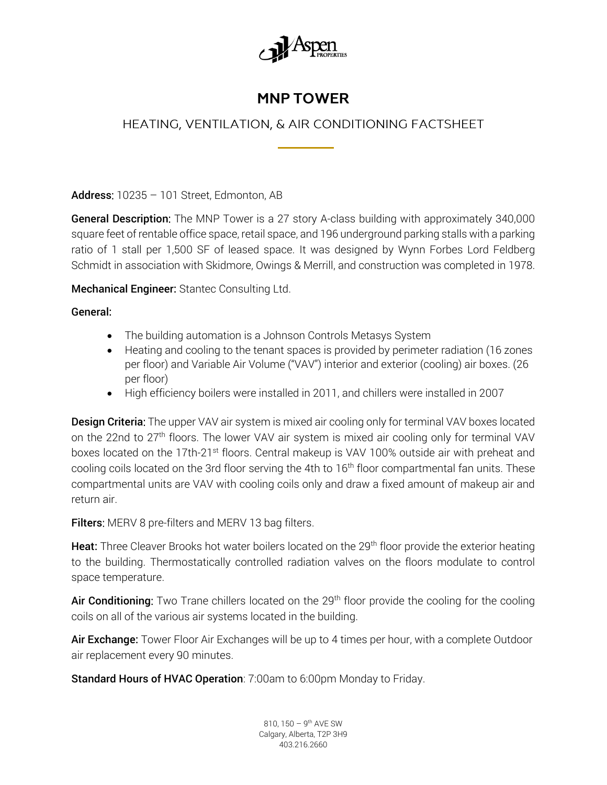

## **MNP TOWER**

## HEATING, VENTILATION, & AIR CONDITIONING FACTSHEET

Address:  $10235 - 101$  Street, Edmonton, AB

General Description: The MNP Tower is a 27 story A-class building with approximately 340,000 square feet of rentable office space, retail space, and 196 underground parking stalls with a parking ratio of 1 stall per 1,500 SF of leased space. It was designed by Wynn Forbes Lord Feldberg Schmidt in association with Skidmore, Owings & Merrill, and construction was completed in 1978.

Mechanical Engineer: Stantec Consulting Ltd.

## General:

- The building automation is a Johnson Controls Metasys System
- Heating and cooling to the tenant spaces is provided by perimeter radiation (16 zones per floor) and Variable Air Volume ("VAV") interior and exterior (cooling) air boxes. (26 per floor)
- High efficiency boilers were installed in 2011, and chillers were installed in 2007

**Design Criteria:** The upper VAV air system is mixed air cooling only for terminal VAV boxes located on the 22nd to 27<sup>th</sup> floors. The lower VAV air system is mixed air cooling only for terminal VAV boxes located on the 17th-21<sup>st</sup> floors. Central makeup is VAV 100% outside air with preheat and cooling coils located on the 3rd floor serving the 4th to 16<sup>th</sup> floor compartmental fan units. These compartmental units are VAV with cooling coils only and draw a fixed amount of makeup air and return air.

Filters: MERV 8 pre-filters and MERV 13 bag filters.

Heat: Three Cleaver Brooks hot water boilers located on the 29<sup>th</sup> floor provide the exterior heating to the building. Thermostatically controlled radiation valves on the floors modulate to control space temperature.

Air Conditioning: Two Trane chillers located on the 29<sup>th</sup> floor provide the cooling for the cooling coils on all of the various air systems located in the building.

Air Exchange: Tower Floor Air Exchanges will be up to 4 times per hour, with a complete Outdoor air replacement every 90 minutes.

Standard Hours of HVAC Operation: 7:00am to 6:00pm Monday to Friday.